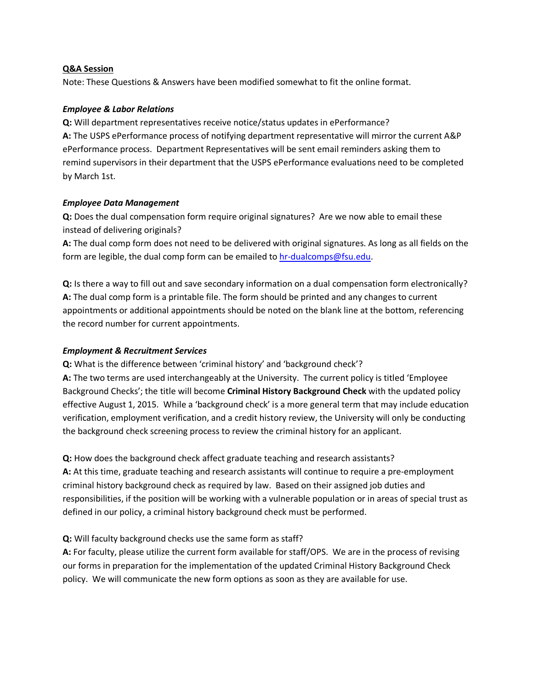## **Q&A Session**

Note: These Questions & Answers have been modified somewhat to fit the online format.

## *Employee & Labor Relations*

**Q:** Will department representatives receive notice/status updates in ePerformance? **A:** The USPS ePerformance process of notifying department representative will mirror the current A&P ePerformance process. Department Representatives will be sent email reminders asking them to remind supervisors in their department that the USPS ePerformance evaluations need to be completed by March 1st.

## *Employee Data Management*

**Q:** Does the dual compensation form require original signatures? Are we now able to email these instead of delivering originals?

**A:** The dual comp form does not need to be delivered with original signatures. As long as all fields on the form are legible, the dual comp form can be emailed to [hr-dualcomps@fsu.edu.](mailto:hr-dualcomps@fsu.edu)

**Q:** Is there a way to fill out and save secondary information on a dual compensation form electronically? **A:** The dual comp form is a printable file. The form should be printed and any changes to current appointments or additional appointments should be noted on the blank line at the bottom, referencing the record number for current appointments.

# *Employment & Recruitment Services*

**Q:** What is the difference between 'criminal history' and 'background check'?

**A:** The two terms are used interchangeably at the University. The current policy is titled 'Employee Background Checks'; the title will become **Criminal History Background Check** with the updated policy effective August 1, 2015. While a 'background check' is a more general term that may include education verification, employment verification, and a credit history review, the University will only be conducting the background check screening process to review the criminal history for an applicant.

**Q:** How does the background check affect graduate teaching and research assistants?

**A:** At this time, graduate teaching and research assistants will continue to require a pre-employment criminal history background check as required by law. Based on their assigned job duties and responsibilities, if the position will be working with a vulnerable population or in areas of special trust as defined in our policy, a criminal history background check must be performed.

# **Q:** Will faculty background checks use the same form as staff?

**A:** For faculty, please utilize the current form available for staff/OPS. We are in the process of revising our forms in preparation for the implementation of the updated Criminal History Background Check policy. We will communicate the new form options as soon as they are available for use.